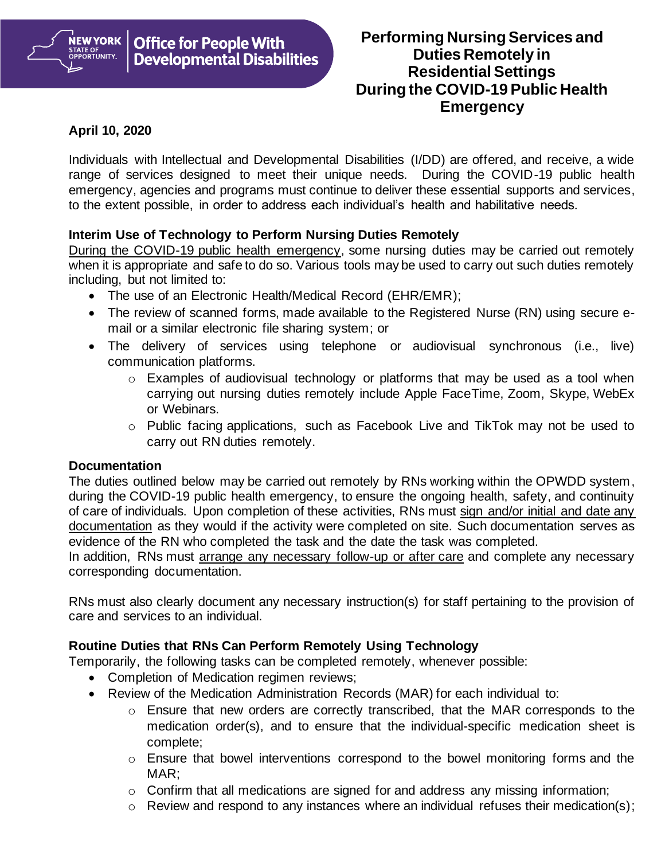

# **April 10, 2020**

Individuals with Intellectual and Developmental Disabilities (I/DD) are offered, and receive, a wide range of services designed to meet their unique needs. During the COVID-19 public health emergency, agencies and programs must continue to deliver these essential supports and services, to the extent possible, in order to address each individual's health and habilitative needs.

### **Interim Use of Technology to Perform Nursing Duties Remotely**

During the COVID-19 public health emergency, some nursing duties may be carried out remotely when it is appropriate and safe to do so. Various tools may be used to carry out such duties remotely including, but not limited to:

- The use of an Electronic Health/Medical Record (EHR/EMR);
- The review of scanned forms, made available to the Registered Nurse (RN) using secure email or a similar electronic file sharing system; or
- The delivery of services using telephone or audiovisual synchronous (i.e., live) communication platforms.
	- o Examples of audiovisual technology or platforms that may be used as a tool when carrying out nursing duties remotely include Apple FaceTime, Zoom, Skype, WebEx or Webinars.
	- o Public facing applications, such as Facebook Live and TikTok may not be used to carry out RN duties remotely.

#### **Documentation**

The duties outlined below may be carried out remotely by RNs working within the OPWDD system, during the COVID-19 public health emergency, to ensure the ongoing health, safety, and continuity of care of individuals. Upon completion of these activities, RNs must sign and/or initial and date any documentation as they would if the activity were completed on site. Such documentation serves as evidence of the RN who completed the task and the date the task was completed.

In addition, RNs must arrange any necessary follow-up or after care and complete any necessary corresponding documentation.

RNs must also clearly document any necessary instruction(s) for staff pertaining to the provision of care and services to an individual.

# **Routine Duties that RNs Can Perform Remotely Using Technology**

Temporarily, the following tasks can be completed remotely, whenever possible:

- Completion of Medication regimen reviews;
- Review of the Medication Administration Records (MAR) for each individual to:
	- $\circ$  Ensure that new orders are correctly transcribed, that the MAR corresponds to the medication order(s), and to ensure that the individual-specific medication sheet is complete;
	- $\circ$  Ensure that bowel interventions correspond to the bowel monitoring forms and the MAR;
	- $\circ$  Confirm that all medications are signed for and address any missing information;
	- $\circ$  Review and respond to any instances where an individual refuses their medication(s);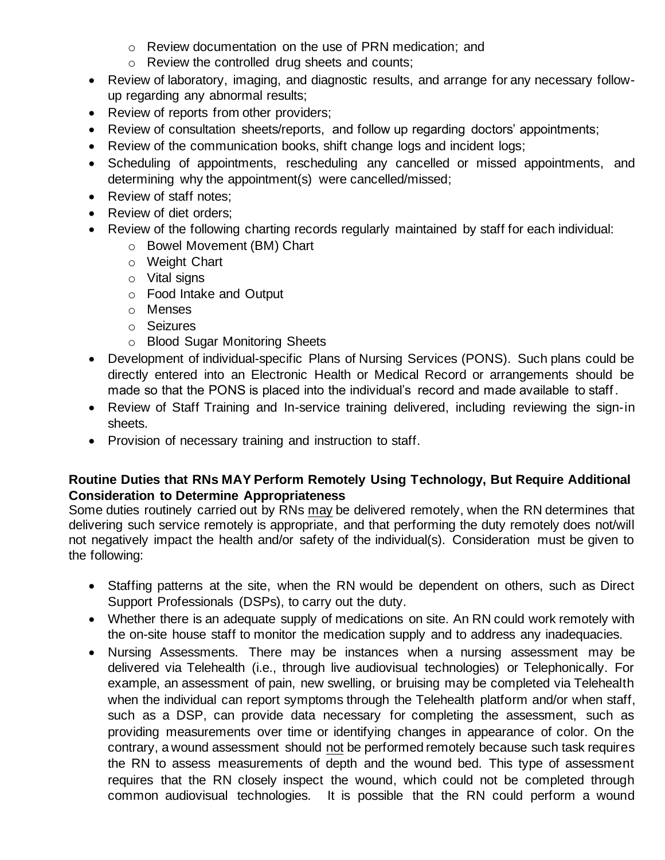- o Review documentation on the use of PRN medication; and
- o Review the controlled drug sheets and counts;
- Review of laboratory, imaging, and diagnostic results, and arrange for any necessary followup regarding any abnormal results;
- Review of reports from other providers;
- Review of consultation sheets/reports, and follow up regarding doctors' appointments;
- Review of the communication books, shift change logs and incident logs;
- Scheduling of appointments, rescheduling any cancelled or missed appointments, and determining why the appointment(s) were cancelled/missed;
- Review of staff notes:
- Review of diet orders:
- Review of the following charting records regularly maintained by staff for each individual:
	- o Bowel Movement (BM) Chart
	- o Weight Chart
	- o Vital signs
	- o Food Intake and Output
	- o Menses
	- o Seizures
	- o Blood Sugar Monitoring Sheets
- Development of individual-specific Plans of Nursing Services (PONS). Such plans could be directly entered into an Electronic Health or Medical Record or arrangements should be made so that the PONS is placed into the individual's record and made available to staff.
- Review of Staff Training and In-service training delivered, including reviewing the sign-in sheets.
- Provision of necessary training and instruction to staff.

### **Routine Duties that RNs MAY Perform Remotely Using Technology, But Require Additional Consideration to Determine Appropriateness**

Some duties routinely carried out by RNs may be delivered remotely, when the RN determines that delivering such service remotely is appropriate, and that performing the duty remotely does not/will not negatively impact the health and/or safety of the individual(s). Consideration must be given to the following:

- Staffing patterns at the site, when the RN would be dependent on others, such as Direct Support Professionals (DSPs), to carry out the duty.
- Whether there is an adequate supply of medications on site. An RN could work remotely with the on-site house staff to monitor the medication supply and to address any inadequacies.
- Nursing Assessments. There may be instances when a nursing assessment may be delivered via Telehealth (i.e., through live audiovisual technologies) or Telephonically. For example, an assessment of pain, new swelling, or bruising may be completed via Telehealth when the individual can report symptoms through the Telehealth platform and/or when staff, such as a DSP, can provide data necessary for completing the assessment, such as providing measurements over time or identifying changes in appearance of color. On the contrary, a wound assessment should not be performed remotely because such task requires the RN to assess measurements of depth and the wound bed. This type of assessment requires that the RN closely inspect the wound, which could not be completed through common audiovisual technologies. It is possible that the RN could perform a wound